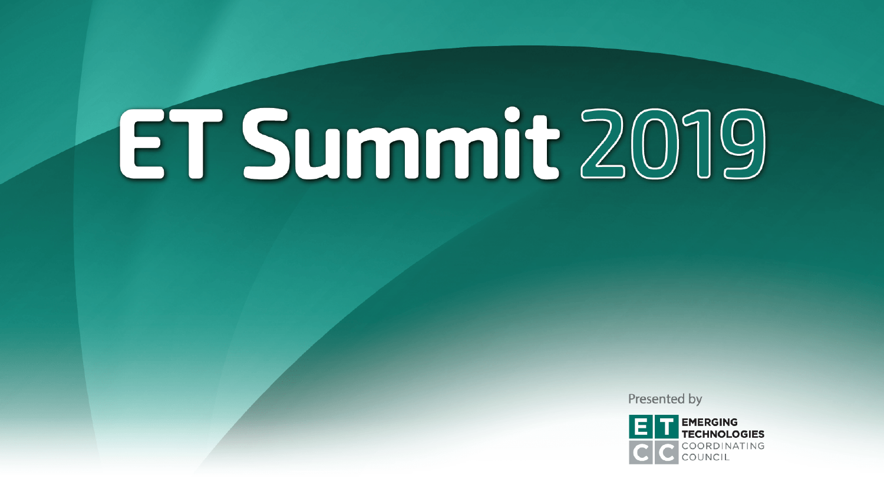Presented by

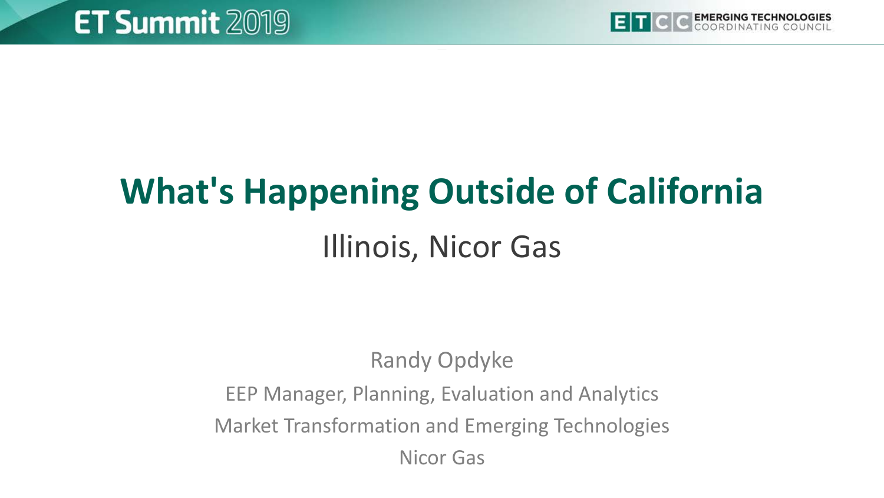

## **What's Happening Outside of California**  Illinois, Nicor Gas

#### Randy Opdyke

#### EEP Manager, Planning, Evaluation and Analytics Market Transformation and Emerging Technologies

Nicor Gas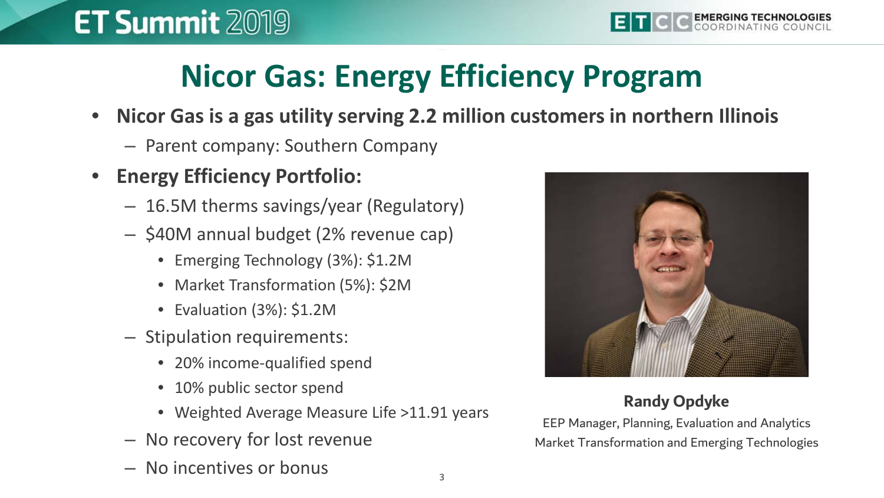## **Nicor Gas: Energy Efficiency Program**

- **Nicor Gas is a gas utility serving 2.2 million customers in northern Illinois**
	- Parent company: Southern Company
- **Energy Efficiency Portfolio:**
	- 16.5M therms savings/year (Regulatory)
	- \$40M annual budget (2% revenue cap)
		- Emerging Technology (3%): \$1.2M
		- Market Transformation (5%): \$2M
		- Evaluation (3%): \$1.2M
	- Stipulation requirements:
		- 20% income-qualified spend
		- 10% public sector spend
		- Weighted Average Measure Life >11.91 years
	- No recovery for lost revenue
	- No incentives or bonus



#### **Randy Opdyke**

EEP Manager, Planning, Evaluation and Analytics Market Transformation and Emerging Technologies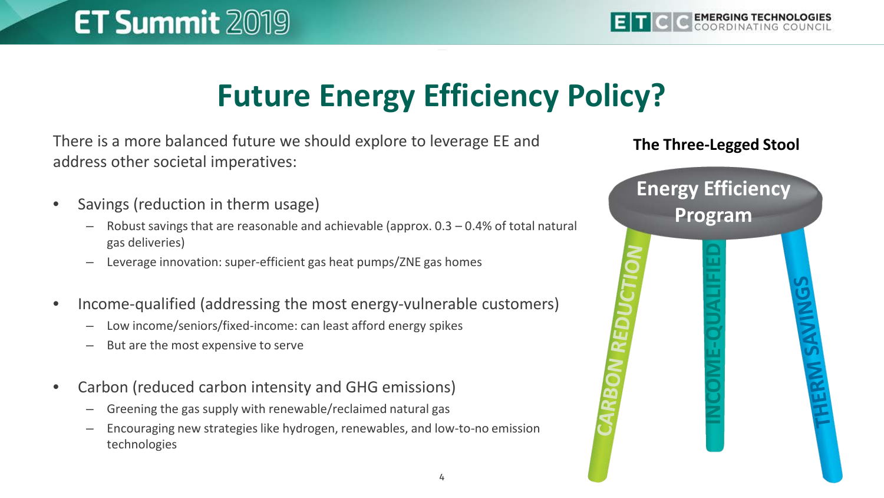## **Future Energy Efficiency Policy?**

There is a more balanced future we should explore to leverage EE and address other societal imperatives:

- Savings (reduction in therm usage)
	- Robust savings that are reasonable and achievable (approx. 0.3 0.4% of total natural gas deliveries)
	- Leverage innovation: super-efficient gas heat pumps/ZNE gas homes
- Income-qualified (addressing the most energy-vulnerable customers)
	- Low income/seniors/fixed-income: can least afford energy spikes
	- But are the most expensive to serve
- Carbon (reduced carbon intensity and GHG emissions)
	- Greening the gas supply with renewable/reclaimed natural gas
	- Encouraging new strategies like hydrogen, renewables, and low-to-no emission technologies

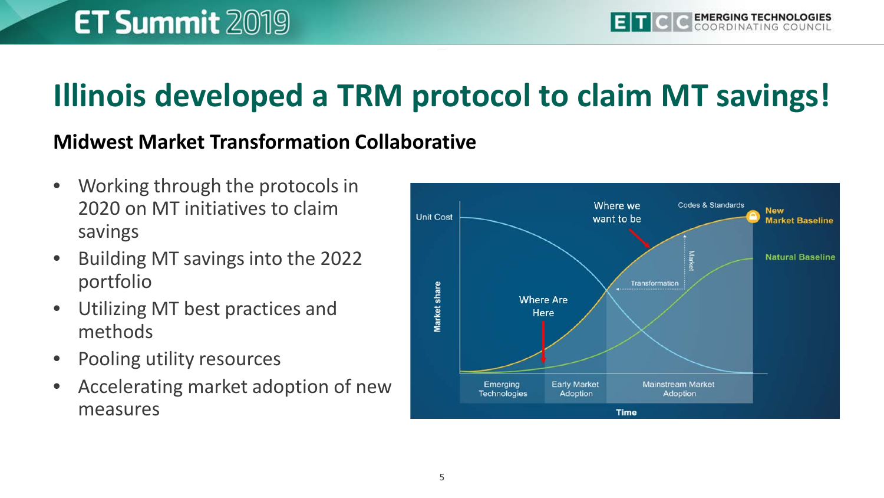## **Illinois developed a TRM protocol to claim MT savings!**

#### **Midwest Market Transformation Collaborative**

- Working through the protocols in 2020 on MT initiatives to claim savings
- Building MT savings into the 2022 portfolio
- Utilizing MT best practices and methods
- Pooling utility resources
- Accelerating market adoption of new measures

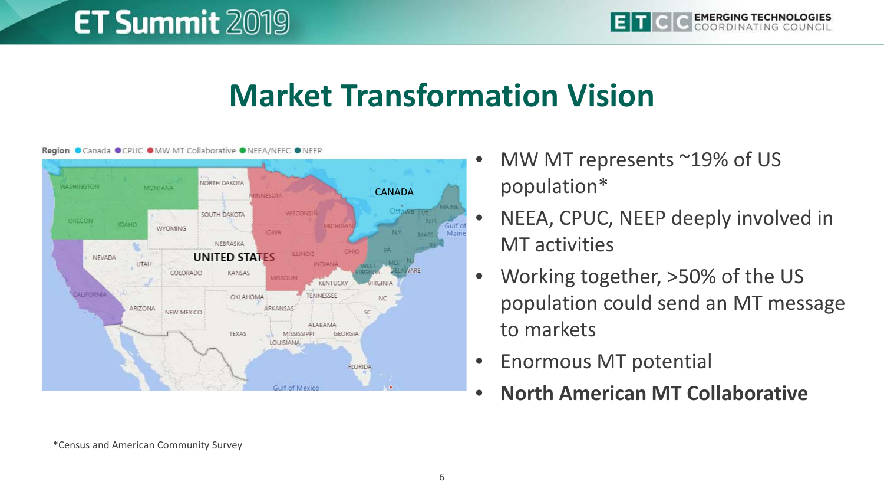#### **Market Transformation Vision**



Region Canada OCPUC OMW MT Collaborative ONEEA/NEEC ONEEP

- MW MT represents ~19% of US population\*
- NEEA, CPUC, NEEP deeply involved in MT activities
- Working together, >50% of the US population could send an MT message to markets
- Enormous MT potential
- **North American MT Collaborative**

\*Census and American Community Survey